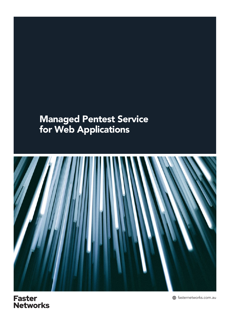# Managed Pentest Service for Web Applications



**Faster** Networks

fasternetworks.com.au